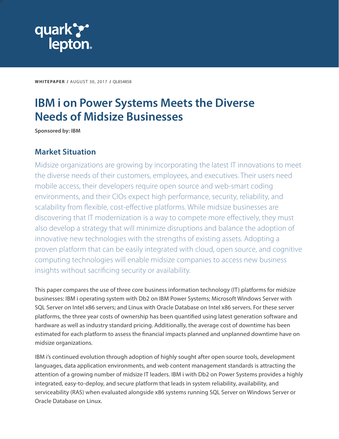<span id="page-0-0"></span>

**WHITEPAPER** / AUGUST 30, 2017 / QL854858

# **IBM i on Power Systems Meets the Diverse Needs of Midsize Businesses**

**Sponsored by: IBM**

# **Market Situation**

Midsize organizations are growing by incorporating the latest IT innovations to meet the diverse needs of their customers, employees, and executives. Their users need mobile access, their developers require open source and web-smart coding environments, and their CIOs expect high performance, security, reliability, and scalability from flexible, cost-effective platforms. While midsize businesses are discovering that IT modernization is a way to compete more effectively, they must also develop a strategy that will minimize disruptions and balance the adoption of innovative new technologies with the strengths of existing assets. Adopting a proven platform that can be easily integrated with cloud, open source, and cognitive computing technologies will enable midsize companies to access new business insights without sacrificing security or availability.

This paper compares the use of three core business information technology (IT) platforms for midsize businesses: IBM i operating system with Db2 on IBM Power Systems; Microsoft Windows Server with SQL Server on Intel x86 servers; and Linux with Oracle Database on Intel x86 servers. For these server platforms, the three year costs of ownership has been quantified using latest generation software and hardware as well as industry standard pricing. Additionally, the average cost of downtime has been estimated for each platform to assess the financial impacts planned and unplanned downtime have on midsize organizations.

IBM i's continued evolution through adoption of highly sought after open source tools, development languages, data application environments, and web content management standards is attracting the attention of a growing number of midsize IT leaders. IBM i with Db2 on Power Systems provides a highly integrated, easy-to-deploy, and secure platform that leads in system reliability, availability, and serviceability (RAS) when evaluated alongside x86 systems running SQL Server on Windows Server or Oracle Database on Linux.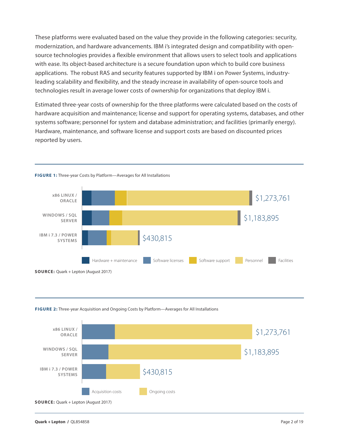<span id="page-1-0"></span>These platforms were evaluated based on the value they provide in the following categories: security, modernization, and hardware advancements. IBM i's integrated design and compatibility with opensource technologies provides a flexible environment that allows users to select tools and applications with ease. Its object-based architecture is a secure foundation upon which to build core business applications. The robust RAS and security features supported by IBM i on Power Systems, industryleading scalability and flexibility, and the steady increase in availability of open-source tools and technologies result in average lower costs of ownership for organizations that deploy IBM i.

Estimated three-year costs of ownership for the three platforms were calculated based on the costs of hardware acquisition and maintenance; license and support for operating systems, databases, and other systems software; personnel for system and database administration; and facilities (primarily energy). Hardware, maintenance, and software license and support costs are based on discounted prices reported by users.



**FIGURE 1:** Three-year Costs by Platform—Averages for All Installations



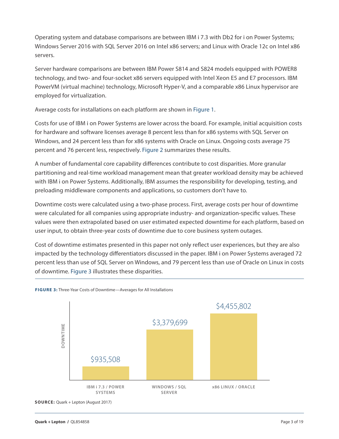<span id="page-2-0"></span>Operating system and database comparisons are between IBM i 7.3 with Db2 for i on Power Systems; Windows Server 2016 with SQL Server 2016 on Intel x86 servers; and Linux with Oracle 12c on Intel x86 servers.

Server hardware comparisons are between IBM Power S814 and S824 models equipped with POWER8 technology, and two- and four-socket x86 servers equipped with Intel Xeon E5 and E7 processors. IBM PowerVM (virtual machine) technology, Microsoft Hyper-V, and a comparable x86 Linux hypervisor are employed for virtualization.

Average costs for installations on each platform are shown in Figure 1.

Costs for use of IBM i on Power Systems are lower across the board. For example, initial acquisition costs for hardware and software licenses average 8 percent less than for x86 systems with SQL Server on Windows, and 24 percent less than for x86 systems with Oracle on Linux. Ongoing costs average 75 percent and 76 percent less, respectively. Figure 2 summarizes these results.

A number of fundamental core capability differences contribute to cost disparities. More granular partitioning and real-time workload management mean that greater workload density may be achieved with IBM i on Power Systems. Additionally, IBM assumes the responsibility for developing, testing, and preloading middleware components and applications, so customers don't have to.

Downtime costs were calculated using a two-phase process. First, average costs per hour of downtime were calculated for all companies using appropriate industry- and organization-specific values. These values were then extrapolated based on user estimated expected downtime for each platform, based on user input, to obtain three-year costs of downtime due to core business system outages.

Cost of downtime estimates presented in this paper not only reflect user experiences, but they are also impacted by the technology differentiators discussed in the paper. IBM i on Power Systems averaged 72 percent less than use of SQL Server on Windows, and 79 percent less than use of Oracle on Linux in costs of downtime. Figure 3 illustrates these disparities.



#### **FIGURE 3:** Three-Year Costs of Downtime—Averages for All Installations

**SOURCE:** Quark + Lepton (August 2017)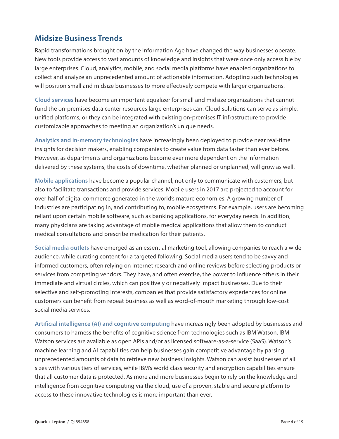# <span id="page-3-0"></span>**Midsize Business Trends**

Rapid transformations brought on by the Information Age have changed the way businesses operate. New tools provide access to vast amounts of knowledge and insights that were once only accessible by large enterprises. Cloud, analytics, mobile, and social media platforms have enabled organizations to collect and analyze an unprecedented amount of actionable information. Adopting such technologies will position small and midsize businesses to more effectively compete with larger organizations.

**Cloud services** have become an important equalizer for small and midsize organizations that cannot fund the on-premises data center resources large enterprises can. Cloud solutions can serve as simple, unified platforms, or they can be integrated with existing on-premises IT infrastructure to provide customizable approaches to meeting an organization's unique needs.

**Analytics and in-memory technologies** have increasingly been deployed to provide near real-time insights for decision makers, enabling companies to create value from data faster than ever before. However, as departments and organizations become ever more dependent on the information delivered by these systems, the costs of downtime, whether planned or unplanned, will grow as well.

**Mobile applications** have become a popular channel, not only to communicate with customers, but also to facilitate transactions and provide services. Mobile users in 2017 are projected to account for over half of digital commerce generated in the world's mature economies. A growing number of industries are participating in, and contributing to, mobile ecosystems. For example, users are becoming reliant upon certain mobile software, such as banking applications, for everyday needs. In addition, many physicians are taking advantage of mobile medical applications that allow them to conduct medical consultations and prescribe medication for their patients.

**Social media outlets** have emerged as an essential marketing tool, allowing companies to reach a wide audience, while curating content for a targeted following. Social media users tend to be savvy and informed customers, often relying on Internet research and online reviews before selecting products or services from competing vendors. They have, and often exercise, the power to influence others in their immediate and virtual circles, which can positively or negatively impact businesses. Due to their selective and self-promoting interests, companies that provide satisfactory experiences for online customers can benefit from repeat business as well as word-of-mouth marketing through low-cost social media services.

**Artificial intelligence (AI) and cognitive computing** have increasingly been adopted by businesses and consumers to harness the benefits of cognitive science from technologies such as IBM Watson. IBM Watson services are available as open APIs and/or as licensed software-as-a-service (SaaS). Watson's machine learning and AI capabilities can help businesses gain competitive advantage by parsing unprecedented amounts of data to retrieve new business insights. Watson can assist businesses of all sizes with various tiers of services, while IBM's world class security and encryption capabilities ensure that all customer data is protected. As more and more businesses begin to rely on the knowledge and intelligence from cognitive computing via the cloud, use of a proven, stable and secure platform to access to these innovative technologies is more important than ever.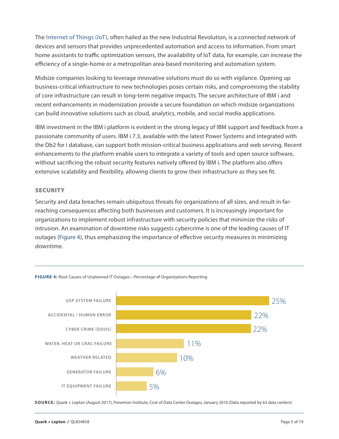<span id="page-4-0"></span>The **Internet of Things (IoT)**, often hailed as the new Industrial Revolution, is a connected network of devices and sensors that provides unprecedented automation and access to information. From smart home assistants to traffic optimization sensors, the availability of IoT data, for example, can increase the efficiency of a single-home or a metropolitan area-based monitoring and automation system.

Midsize companies looking to leverage innovative solutions must do so with vigilance. Opening up business-critical infrastructure to new technologies poses certain risks, and compromising the stability of core infrastructure can result in long-term negative impacts. The secure architecture of IBM i and recent enhancements in modernization provide a secure foundation on which midsize organizations can build innovative solutions such as cloud, analytics, mobile, and social media applications.

IBM investment in the IBM i platform is evident in the strong legacy of IBM support and feedback from a passionate community of users. IBM i 7.3, available with the latest Power Systems and integrated with the Db2 for i database, can support both mission-critical business applications and web serving. Recent enhancements to the platform enable users to integrate a variety of tools and open source software, without sacrificing the robust security features natively offered by IBM i. The platform also offers extensive scalability and flexibility, allowing clients to grow their infrastructure as they see fit.

#### **SECURITY**

Security and data breaches remain ubiquitous threats for organizations of all sizes, and result in farreaching consequences affecting both businesses and customers. It is increasingly important for organizations to implement robust infrastructure with security policies that minimize the risks of intrusion. An examination of downtime risks suggests cybercrime is one of the leading causes of IT outages (Figure 4), thus emphasizing the importance of effective security measures in minimizing downtime.



**FIGURE 4:** Root Causes of Unplanned IT Outages—Percentage of Organizations Reporting

**SOURCE:** Quark + Lepton (August 2017), Ponemon Institute, Cost of Data Center Outages, January 2016 (Data reported by 63 data centers)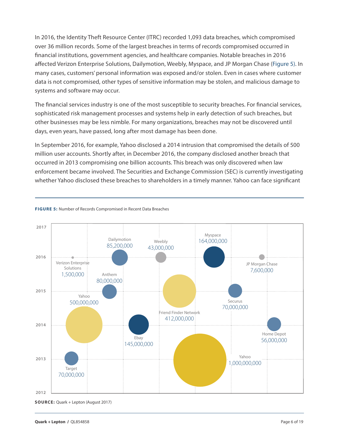<span id="page-5-0"></span>In 2016, the Identity Theft Resource Center (ITRC) recorded 1,093 data breaches, which compromised over 36 million records. Some of the largest breaches in terms of records compromised occurred in financial institutions, government agencies, and healthcare companies. Notable breaches in 2016 affected Verizon Enterprise Solutions, Dailymotion, Weebly, Myspace, and JP Morgan Chase (Figure 5). In many cases, customers' personal information was exposed and/or stolen. Even in cases where customer data is not compromised, other types of sensitive information may be stolen, and malicious damage to systems and software may occur.

The financial services industry is one of the most susceptible to security breaches. For financial services, sophisticated risk management processes and systems help in early detection of such breaches, but other businesses may be less nimble. For many organizations, breaches may not be discovered until days, even years, have passed, long after most damage has been done.

In September 2016, for example, Yahoo disclosed a 2014 intrusion that compromised the details of 500 million user accounts. Shortly after, in December 2016, the company disclosed another breach that occurred in 2013 compromising one billion accounts. This breach was only discovered when law enforcement became involved. The Securities and Exchange Commission (SEC) is currently investigating whether Yahoo disclosed these breaches to shareholders in a timely manner. Yahoo can face significant



#### **FIGURE 5:** Number of Records Compromised in Recent Data Breaches

**SOURCE:** Quark + Lepton (August 2017)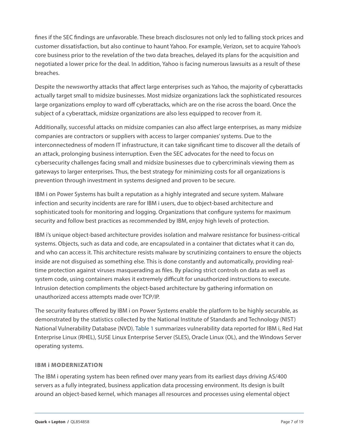<span id="page-6-0"></span>fines if the SEC findings are unfavorable. These breach disclosures not only led to falling stock prices and customer dissatisfaction, but also continue to haunt Yahoo. For example, Verizon, set to acquire Yahoo's core business prior to the revelation of the two data breaches, delayed its plans for the acquisition and negotiated a lower price for the deal. In addition, Yahoo is facing numerous lawsuits as a result of these breaches.

Despite the newsworthy attacks that affect large enterprises such as Yahoo, the majority of cyberattacks actually target small to midsize businesses. Most midsize organizations lack the sophisticated resources large organizations employ to ward off cyberattacks, which are on the rise across the board. Once the subject of a cyberattack, midsize organizations are also less equipped to recover from it.

Additionally, successful attacks on midsize companies can also affect large enterprises, as many midsize companies are contractors or suppliers with access to larger companies' systems. Due to the interconnectedness of modern IT infrastructure, it can take significant time to discover all the details of an attack, prolonging business interruption. Even the SEC advocates for the need to focus on cybersecurity challenges facing small and midsize businesses due to cybercriminals viewing them as gateways to larger enterprises. Thus, the best strategy for minimizing costs for all organizations is prevention through investment in systems designed and proven to be secure.

IBM i on Power Systems has built a reputation as a highly integrated and secure system. Malware infection and security incidents are rare for IBM i users, due to object-based architecture and sophisticated tools for monitoring and logging. Organizations that configure systems for maximum security and follow best practices as recommended by IBM, enjoy high levels of protection.

IBM i's unique object-based architecture provides isolation and malware resistance for business-critical systems. Objects, such as data and code, are encapsulated in a container that dictates what it can do, and who can access it. This architecture resists malware by scrutinizing containers to ensure the objects inside are not disguised as something else. This is done constantly and automatically, providing realtime protection against viruses masquerading as files. By placing strict controls on data as well as system code, using containers makes it extremely difficult for unauthorized instructions to execute. Intrusion detection compliments the object-based architecture by gathering information on unauthorized access attempts made over TCP/IP.

The security features offered by IBM i on Power Systems enable the platform to be highly securable, as demonstrated by the statistics collected by the National Institute of Standards and Technology (NIST) National Vulnerability Database (NVD). Table 1 summarizes vulnerability data reported for IBM i, Red Hat Enterprise Linux (RHEL), SUSE Linux Enterprise Server (SLES), Oracle Linux (OL), and the Windows Server operating systems.

#### IBM i MODERNIZATION

The IBM i operating system has been refined over many years from its earliest days driving AS/400 servers as a fully integrated, business application data processing environment. Its design is built around an object-based kernel, which manages all resources and processes using elemental object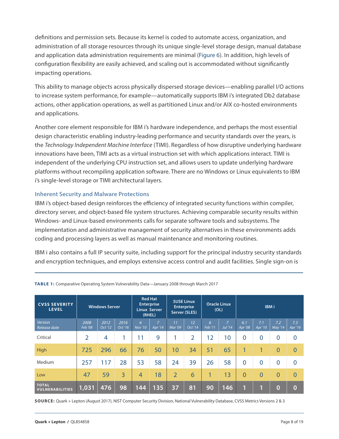<span id="page-7-0"></span>definitions and permission sets. Because its kernel is coded to automate access, organization, and administration of all storage resources through its unique single-level storage design, manual database and application data administration requirements are minimal (Figure 6). In addition, high levels of configuration flexibility are easily achieved, and scaling out is accommodated without significantly impacting operations.

This ability to manage objects across physically dispersed storage devices—enabling parallel I/O actions to increase system performance, for example—automatically supports IBM i's integrated Db2 database actions, other application operations, as well as partitioned Linux and/or AIX co-hosted environments and applications.

Another core element responsible for IBM i's hardware independence, and perhaps the most essential design characteristic enabling industry-leading performance and security standards over the years, is the *Technology Independent Machine Interface* (TIMI). Regardless of how disruptive underlying hardware innovations have been, TIMI acts as a virtual instruction set with which applications interact. TIMI is independent of the underlying CPU instruction set, and allows users to update underlying hardware platforms without recompiling application software. There are no Windows or Linux equivalents to IBM i's single-level storage or TIMI architectural layers.

### **Inherent Security and Malware Protections**

IBM i's object-based design reinforces the efficiency of integrated security functions within compiler, directory server, and object-based file system structures. Achieving comparable security results within Windows- and Linux-based environments calls for separate software tools and subsystems. The implementation and administrative management of security alternatives in these environments adds coding and processing layers as well as manual maintenance and monitoring routines.

IBM i also contains a full IP security suite, including support for the principal industry security standards and encryption techniques, and employs extensive access control and audit facilities. Single sign-on is

| <b>CVSS SEVERITY</b><br><b>LEVEL</b>   | <b>Windows Server</b> |                 | <b>Red Hat</b><br><b>Enterprise</b><br><b>Linux Server</b><br>(RHEL) |                     | <b>SUSE Linux</b><br><b>Enterprise</b><br>Server (SLES) |                      | <b>Oracle Linux</b><br>(OL) |              | <b>IBMi</b>               |                |                 |                |                |
|----------------------------------------|-----------------------|-----------------|----------------------------------------------------------------------|---------------------|---------------------------------------------------------|----------------------|-----------------------------|--------------|---------------------------|----------------|-----------------|----------------|----------------|
| Version<br>Release date                | 2008<br>Feb '08       | 2012<br>Oct '12 | 2016<br>Oct '16                                                      | 6<br><b>Nov '10</b> | $\overline{7}$<br>Apr '14                               | 11<br><b>Mar '09</b> | 12<br>Oct '14               | 6<br>Feb '11 | $\overline{7}$<br>Jul '14 | 6.1<br>Apr '08 | 7.1<br>Apr '10' | 7.2<br>May '14 | 7.3<br>Apr '16 |
| Critical                               | $\overline{2}$        | 4               |                                                                      | 11                  | 9                                                       |                      | $\overline{2}$              | 12           | 10                        | $\overline{0}$ | $\overline{0}$  | $\mathbf 0$    | $\overline{0}$ |
| High                                   | 725                   | 296             | 66                                                                   | 76                  | 50                                                      | 10                   | 34                          | 51           | 65                        | 1              |                 | $\mathbf{0}$   | $\Omega$       |
| Medium                                 | 257                   | 117             | 28                                                                   | 53                  | 58                                                      | 24                   | 39                          | 26           | 58                        | $\overline{0}$ | $\overline{0}$  | $\overline{0}$ | $\Omega$       |
| Low                                    | 47                    | 59              | 3                                                                    | $\overline{4}$      | 18                                                      | $\overline{2}$       | 6                           | 1            | 13                        | $\overline{0}$ | $\overline{0}$  | $\overline{0}$ | $\overline{0}$ |
| <b>TOTAL</b><br><b>VULNERABILITIES</b> | 1,031                 | 476             | 98                                                                   | 144                 | 135                                                     | 37                   | 81                          | 90           | 146                       | 1              |                 | $\overline{0}$ | $\bf{0}$       |

**Table 1:** Comparative Operating System Vulnerability Data—January 2008 through March 2017

**SOURCE:** Quark + Lepton (August 2017), NIST Computer Security Division, National Vulnerability Database, CVSS Metrics Versions 2 & 3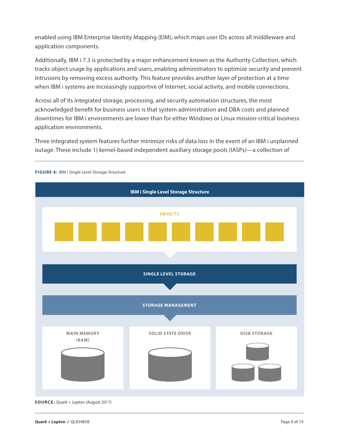<span id="page-8-0"></span>enabled using IBM Enterprise Identity Mapping (EIM), which maps user IDs across all middleware and application components.

Additionally, IBM i 7.3 is protected by a major enhancement known as the Authority Collection, which tracks object usage by applications and users, enabling administrators to optimize security and prevent intrusions by removing excess authority. This feature provides another layer of protection at a time when IBM i systems are increasingly supportive of Internet, social activity, and mobile connections.

Across all of its integrated storage, processing, and security automation structures, the most acknowledged benefit for business users is that system administration and DBA costs and planned downtimes for IBM i environments are lower than for either Windows or Linux mission-critical business application environments.

Three integrated system features further minimize risks of data loss in the event of an IBM i unplanned outage. These include 1) kernel-based independent auxiliary storage pools (IASPs)—a collection of



**SOURCE:** Quark + Lepton (August 2017)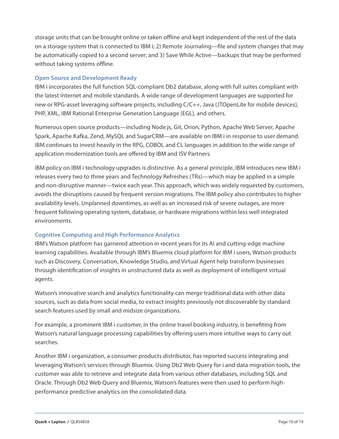storage units that can be brought online or taken offline and kept independent of the rest of the data on a storage system that is connected to IBM i; 2) Remote Journaling—file and system changes that may be automatically copied to a second server; and 3) Save While Active—backups that may be performed without taking systems offline.

# **Open Source and Development Ready**

IBM i incorporates the full function SQL-compliant Db2 database, along with full suites compliant with the latest Internet and mobile standards. A wide range of development languages are supported for new or RPG-asset leveraging software projects, including C/C++, Java (JTOpenLite for mobile devices), PHP, XML, IBM Rational Enterprise Generation Language (EGL), and others.

Numerous open source products—including Node.js, Git, Orion, Python, Apache Web Server, Apache Spark, Apache Kafka, Zend, MySQL and SugarCRM—are available on IBM i in response to user demand. IBM continues to invest heavily in the RPG, COBOL and CL languages in addition to the wide range of application modernization tools are offered by IBM and ISV Partners.

IBM policy on IBM i technology upgrades is distinctive. As a general principle, IBM introduces new IBM i releases every two to three years and Technology Refreshes (TRs)—which may be applied in a simple and non-disruptive manner—twice each year. This approach, which was widely requested by customers, avoids the disruptions caused by frequent version migrations. The IBM policy also contributes to higher availability levels. Unplanned downtimes, as well as an increased risk of severe outages, are more frequent following operating system, database, or hardware migrations within less well integrated environments.

# **Cognitive Computing and High Performance Analytics**

IBM's Watson platform has garnered attention in recent years for its AI and cutting-edge machine learning capabilities. Available through IBM's Bluemix cloud platform for IBM i users, Watson products such as Discovery, Conversation, Knowledge Studio, and Virtual Agent help transform businesses through identification of insights in unstructured data as well as deployment of intelligent virtual agents.

Watson's innovative search and analytics functionality can merge traditional data with other data sources, such as data from social media, to extract insights previously not discoverable by standard search features used by small and midsize organizations.

For example, a prominent IBM i customer, in the online travel booking industry, is benefiting from Watson's natural language processing capabilities by offering users more intuitive ways to carry out searches.

Another IBM i organization, a consumer products distributor, has reported success integrating and leveraging Watson's services through Bluemix. Using Db2 Web Query for i and data migration tools, the customer was able to retrieve and integrate data from various other databases, including SQL and Oracle. Through Db2 Web Query and Bluemix, Watson's features were then used to perform highperformance predictive analytics on the consolidated data.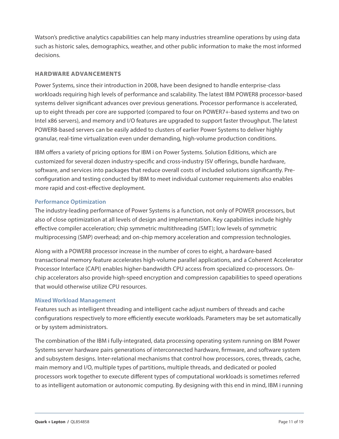<span id="page-10-0"></span>Watson's predictive analytics capabilities can help many industries streamline operations by using data such as historic sales, demographics, weather, and other public information to make the most informed decisions.

### HARDWARE ADVANCEMENTS

Power Systems, since their introduction in 2008, have been designed to handle enterprise-class workloads requiring high levels of performance and scalability. The latest IBM POWER8 processor-based systems deliver significant advances over previous generations. Processor performance is accelerated, up to eight threads per core are supported (compared to four on POWER7+-based systems and two on Intel x86 servers), and memory and I/O features are upgraded to support faster throughput. The latest POWER8-based servers can be easily added to clusters of earlier Power Systems to deliver highly granular, real-time virtualization even under demanding, high-volume production conditions.

IBM offers a variety of pricing options for IBM i on Power Systems. Solution Editions, which are customized for several dozen industry-specific and cross-industry ISV offerings, bundle hardware, software, and services into packages that reduce overall costs of included solutions significantly. Preconfiguration and testing conducted by IBM to meet individual customer requirements also enables more rapid and cost-effective deployment.

## **Performance Optimization**

The industry-leading performance of Power Systems is a function, not only of POWER processors, but also of close optimization at all levels of design and implementation. Key capabilities include highly effective compiler acceleration; chip symmetric multithreading (SMT); low levels of symmetric multiprocessing (SMP) overhead; and on-chip memory acceleration and compression technologies.

Along with a POWER8 processor increase in the number of cores to eight, a hardware-based transactional memory feature accelerates high-volume parallel applications, and a Coherent Accelerator Processor Interface (CAPI) enables higher-bandwidth CPU access from specialized co-processors. Onchip accelerators also provide high-speed encryption and compression capabilities to speed operations that would otherwise utilize CPU resources.

## **Mixed Workload Management**

Features such as intelligent threading and intelligent cache adjust numbers of threads and cache configurations respectively to more efficiently execute workloads. Parameters may be set automatically or by system administrators.

The combination of the IBM i fully-integrated, data processing operating system running on IBM Power Systems server hardware pairs generations of interconnected hardware, firmware, and software system and subsystem designs. Inter-relational mechanisms that control how processors, cores, threads, cache, main memory and I/O, multiple types of partitions, multiple threads, and dedicated or pooled processors work together to execute different types of computational workloads is sometimes referred to as intelligent automation or autonomic computing. By designing with this end in mind, IBM i running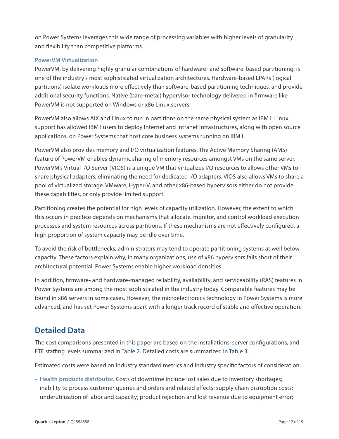<span id="page-11-0"></span>on Power Systems leverages this wide range of processing variables with higher levels of granularity and flexibility than competitive platforms.

## **PowerVM Virtualization**

PowerVM, by delivering highly granular combinations of hardware- and software-based partitioning, is one of the industry's most sophisticated virtualization architectures. Hardware-based LPARs (logical partitions) isolate workloads more effectively than software-based partitioning techniques, and provide additional security functions. Native (bare-metal) hypervisor technology delivered in firmware like PowerVM is not supported on Windows or x86 Linux servers.

PowerVM also allows AIX and Linux to run in partitions on the same physical system as IBM i. Linux support has allowed IBM i users to deploy Internet and intranet infrastructures, along with open source applications, on Power Systems that host core business systems running on IBM i.

PowerVM also provides memory and I/O virtualization features. The Active Memory Sharing (AMS) feature of PowerVM enables dynamic sharing of memory resources amongst VMs on the same server. PowerVM's Virtual I/O Server (VIOS) is a unique VM that virtualizes I/O resources to allows other VMs to share physical adapters, eliminating the need for dedicated I/O adapters. VIOS also allows VMs to share a pool of virtualized storage. VMware, Hyper-V, and other x86-based hypervisors either do not provide these capabilities, or only provide limited support.

Partitioning creates the potential for high levels of capacity utilization. However, the extent to which this occurs in practice depends on mechanisms that allocate, monitor, and control workload execution processes and system resources across partitions. If these mechanisms are not effectively configured, a high proportion of system capacity may be idle over time.

To avoid the risk of bottlenecks, administrators may tend to operate partitioning systems at well below capacity. These factors explain why, in many organizations, use of x86 hypervisors falls short of their architectural potential. Power Systems enable higher workload densities.

In addition, firmware- and hardware-managed reliability, availability, and serviceability (RAS) features in Power Systems are among the most sophisticated in the industry today. Comparable features may be found in x86 servers in some cases. However, the microelectronics technology in Power Systems is more advanced, and has set Power Systems apart with a longer track record of stable and effective operation.

# **Detailed Data**

The cost comparisons presented in this paper are based on the installations, server configurations, and FTE staffing levels summarized in Table 2. Detailed costs are summarized in Table 3.

Estimated costs were based on industry standard metrics and industry specific factors of consideration:

**• Health products distributor.** Costs of downtime include lost sales due to inventory shortages; inability to process customer queries and orders and related effects; supply chain disruption costs; underutilization of labor and capacity; product rejection and lost revenue due to equipment error;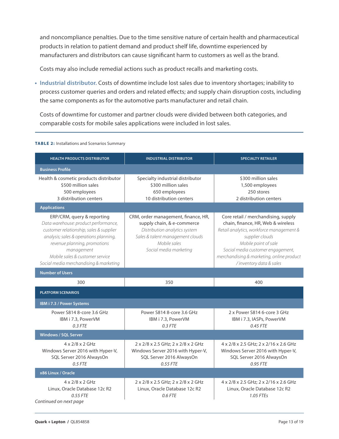<span id="page-12-0"></span>and noncompliance penalties. Due to the time sensitive nature of certain health and pharmaceutical products in relation to patient demand and product shelf life, downtime experienced by manufacturers and distributors can cause significant harm to customers as well as the brand.

Costs may also include remedial actions such as product recalls and marketing costs.

**• Industrial distributor.** Costs of downtime include lost sales due to inventory shortages; inability to process customer queries and orders and related effects; and supply chain disruption costs, including the same components as for the automotive parts manufacturer and retail chain.

Costs of downtime for customer and partner clouds were divided between both categories, and comparable costs for mobile sales applications were included in lost sales.

#### **TABLE 2:** Installations and Scenarios Summary

| <b>HEALTH PRODUCTS DISTRIBUTOR</b>                                                                                                                                                                                                                                                 | <b>INDUSTRIAL DISTRIBUTOR</b>                                                                                                                                                    | <b>SPECIALTY RETAILER</b>                                                                                                                                                                                                                                                      |  |  |
|------------------------------------------------------------------------------------------------------------------------------------------------------------------------------------------------------------------------------------------------------------------------------------|----------------------------------------------------------------------------------------------------------------------------------------------------------------------------------|--------------------------------------------------------------------------------------------------------------------------------------------------------------------------------------------------------------------------------------------------------------------------------|--|--|
| <b>Business Profile</b>                                                                                                                                                                                                                                                            |                                                                                                                                                                                  |                                                                                                                                                                                                                                                                                |  |  |
| Health & cosmetic products distributor<br>\$500 million sales<br>500 employees<br>3 distribution centers                                                                                                                                                                           | Specialty industrial distributor<br>\$300 million sales<br>650 employees<br>10 distribution centers                                                                              | \$300 million sales<br>1,500 employees<br>250 stores<br>2 distribution centers                                                                                                                                                                                                 |  |  |
| <b>Applications</b>                                                                                                                                                                                                                                                                |                                                                                                                                                                                  |                                                                                                                                                                                                                                                                                |  |  |
| ERP/CRM, query & reporting<br>Data warehouse: product performance,<br>customer relationship, sales & supplier<br>analysis; sales & operations planning,<br>revenue planning, promotions<br>management<br>Mobile sales & customer service<br>Social media merchandising & marketing | CRM, order management, finance, HR,<br>supply chain, & e-commerce<br>Distribution analytics system<br>Sales & talent management clouds<br>Mobile sales<br>Social media marketing | Core retail / merchandising, supply<br>chain, finance, HR, Web & wireless<br>Retail analytics, workforce management &<br>supplier clouds<br>Mobile point of sale<br>Social media customer engagement,<br>merchandising & marketing, online product<br>/ inventory data & sales |  |  |
| <b>Number of Users</b>                                                                                                                                                                                                                                                             |                                                                                                                                                                                  |                                                                                                                                                                                                                                                                                |  |  |
| 300                                                                                                                                                                                                                                                                                | 350                                                                                                                                                                              | 400                                                                                                                                                                                                                                                                            |  |  |
| <b>PLATFORM SCENARIOS</b>                                                                                                                                                                                                                                                          |                                                                                                                                                                                  |                                                                                                                                                                                                                                                                                |  |  |
| IBM i 7.3 / Power Systems                                                                                                                                                                                                                                                          |                                                                                                                                                                                  |                                                                                                                                                                                                                                                                                |  |  |
| Power S814 8-core 3.6 GHz<br>IBM i 7.3, PowerVM<br>$0.3$ FTE                                                                                                                                                                                                                       | Power S814 8-core 3.6 GHz<br>IBM i 7.3, PowerVM<br>$0.3$ FTE                                                                                                                     | 2 x Power S814 6-core 3 GHz<br>IBM i 7.3, IASPs, PowerVM<br>0.45 FTE                                                                                                                                                                                                           |  |  |
| <b>Windows / SQL Server</b>                                                                                                                                                                                                                                                        |                                                                                                                                                                                  |                                                                                                                                                                                                                                                                                |  |  |
| $4 \times 2/8 \times 2$ GHz<br>Windows Server 2016 with Hyper-V,<br>SQL Server 2016 AlwaysOn<br>$0.5$ FTE                                                                                                                                                                          | 2 x 2/8 x 2.5 GHz; 2 x 2/8 x 2 GHz<br>Windows Server 2016 with Hyper-V,<br>SQL Server 2016 AlwaysOn<br>0.55 FTE                                                                  | 4 x 2/8 x 2.5 GHz; 2 x 2/16 x 2.6 GHz<br>Windows Server 2016 with Hyper-V,<br>SQL Server 2016 AlwaysOn<br>0.95 FTE                                                                                                                                                             |  |  |
| x86 Linux / Oracle                                                                                                                                                                                                                                                                 |                                                                                                                                                                                  |                                                                                                                                                                                                                                                                                |  |  |
| $4 \times 2/8 \times 2$ GHz<br>Linux, Oracle Database 12c R2<br>0.55 FTE<br>Continued on next page                                                                                                                                                                                 | 2 x 2/8 x 2.5 GHz; 2 x 2/8 x 2 GHz<br>Linux, Oracle Database 12c R2<br>0.6 FTE                                                                                                   | 4 x 2/8 x 2.5 GHz; 2 x 2/16 x 2.6 GHz<br>Linux, Oracle Database 12c R2<br>1.05 FTEs                                                                                                                                                                                            |  |  |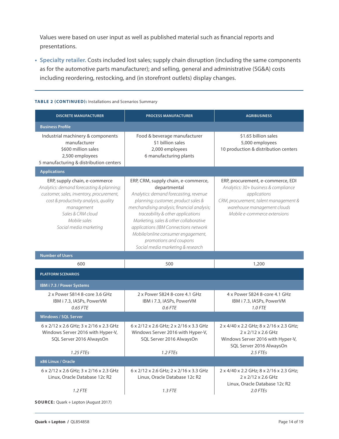Values were based on user input as well as published material such as financial reports and presentations.

**• Specialty retailer.** Costs included lost sales; supply chain disruption (including the same components as for the automotive parts manufacturer); and selling, general and administrative (SG&A) costs including reordering, restocking, and (in storefront outlets) display changes.

| <b>DISCRETE MANUFACTURER</b>                                                                                                                                                                                                                 | <b>PROCESS MANUFACTURER</b>                                                                                                                                                                                                                                                                                                                                                                                      | <b>AGRIBUSINESS</b>                                                                                                                                                                               |
|----------------------------------------------------------------------------------------------------------------------------------------------------------------------------------------------------------------------------------------------|------------------------------------------------------------------------------------------------------------------------------------------------------------------------------------------------------------------------------------------------------------------------------------------------------------------------------------------------------------------------------------------------------------------|---------------------------------------------------------------------------------------------------------------------------------------------------------------------------------------------------|
| <b>Business Profile</b>                                                                                                                                                                                                                      |                                                                                                                                                                                                                                                                                                                                                                                                                  |                                                                                                                                                                                                   |
| Industrial machinery & components<br>manufacturer<br>\$600 million sales<br>2,500 employees<br>5 manufacturing & distribution centers                                                                                                        | Food & beverage manufacturer<br>\$1 billion sales<br>2,000 employees<br>6 manufacturing plants                                                                                                                                                                                                                                                                                                                   | \$1.65 billion sales<br>5,000 employees<br>10 production & distribution centers                                                                                                                   |
| <b>Applications</b>                                                                                                                                                                                                                          |                                                                                                                                                                                                                                                                                                                                                                                                                  |                                                                                                                                                                                                   |
| ERP, supply chain, e-commerce<br>Analytics: demand forecasting & planning;<br>customer, sales, inventory, procurement,<br>cost & productivity analysis, quality<br>management<br>Sales & CRM cloud<br>Mobile sales<br>Social media marketing | ERP, CRM, supply chain, e-commerce,<br>departmental<br>Analytics: demand forecasting, revenue<br>planning; customer, product sales &<br>merchandising analysis; financial analysis;<br>traceability & other applications<br>Marketing, sales & other collaborative<br>applications (IBM Connections network<br>Mobile/online consumer engagement,<br>promotions and coupons<br>Social media marketing & research | ERP, procurement, e-commerce, EDI<br>Analytics: 30+ business & compliance<br>applications<br>CRM, procurement, talent management &<br>warehouse management clouds<br>Mobile e-commerce extensions |
| <b>Number of Users</b>                                                                                                                                                                                                                       |                                                                                                                                                                                                                                                                                                                                                                                                                  |                                                                                                                                                                                                   |
| 600                                                                                                                                                                                                                                          | 500                                                                                                                                                                                                                                                                                                                                                                                                              | 1,200                                                                                                                                                                                             |
| <b>PLATFORM SCENARIOS</b>                                                                                                                                                                                                                    |                                                                                                                                                                                                                                                                                                                                                                                                                  |                                                                                                                                                                                                   |
| IBM i 7.3 / Power Systems                                                                                                                                                                                                                    |                                                                                                                                                                                                                                                                                                                                                                                                                  |                                                                                                                                                                                                   |
| 2 x Power S814 8-core 3.6 GHz<br>IBM i 7.3, IASPs, PowerVM<br>0.65 FTE                                                                                                                                                                       | 2 x Power S824 8-core 4.1 GHz<br>IBM i 7.3, IASPs, PowerVM<br>0.6 FTE                                                                                                                                                                                                                                                                                                                                            | 4 x Power S824 8-core 4.1 GHz<br>IBM i 7.3, IASPs, PowerVM<br>1.0 FTE                                                                                                                             |
| <b>Windows / SQL Server</b>                                                                                                                                                                                                                  |                                                                                                                                                                                                                                                                                                                                                                                                                  |                                                                                                                                                                                                   |
| 6 x 2/12 x 2.6 GHz; 3 x 2/16 x 2.3 GHz<br>Windows Server 2016 with Hyper-V,<br>SQL Server 2016 AlwaysOn<br>1.25 FTEs                                                                                                                         | 6 x 2/12 x 2.6 GHz; 2 x 2/16 x 3.3 GHz<br>Windows Server 2016 with Hyper-V,<br>SQL Server 2016 AlwaysOn<br>1.2 FTEs                                                                                                                                                                                                                                                                                              | 2 x 4/40 x 2.2 GHz; 8 x 2/16 x 2.3 GHz;<br>$2 \times 2/12 \times 2.6$ GHz<br>Windows Server 2016 with Hyper-V,<br>SQL Server 2016 AlwaysOn<br>2.5 FTEs                                            |
| x86 Linux / Oracle                                                                                                                                                                                                                           |                                                                                                                                                                                                                                                                                                                                                                                                                  |                                                                                                                                                                                                   |
| 6 x 2/12 x 2.6 GHz; 3 x 2/16 x 2.3 GHz<br>Linux, Oracle Database 12c R2<br>1.2 FTE                                                                                                                                                           | 6 x 2/12 x 2.6 GHz; 2 x 2/16 x 3.3 GHz<br>Linux, Oracle Database 12c R2<br>$1.3$ FTE                                                                                                                                                                                                                                                                                                                             | 2 x 4/40 x 2.2 GHz; 8 x 2/16 x 2.3 GHz;<br>2 x 2/12 x 2.6 GHz<br>Linux, Oracle Database 12c R2<br>2.0 FTEs                                                                                        |

#### **TABLE 2 (CONTINUED):** Installations and Scenarios Summary

**SOURCE:** Quark + Lepton (August 2017)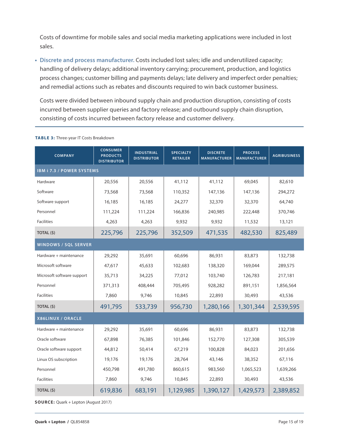Costs of downtime for mobile sales and social media marketing applications were included in lost sales.

**• Discrete and process manufacturer.** Costs included lost sales; idle and underutilized capacity; handling of delivery delays; additional inventory carrying; procurement, production, and logistics process changes; customer billing and payments delays; late delivery and imperfect order penalties; and remedial actions such as rebates and discounts required to win back customer business.

Costs were divided between inbound supply chain and production disruption, consisting of costs incurred between supplier queries and factory release; and outbound supply chain disruption, consisting of costs incurred between factory release and customer delivery.

| <b>CONSUMER</b><br><b>COMPANY</b><br><b>PRODUCTS</b><br><b>DISTRIBUTOR</b> |         | <b>INDUSTRIAL</b><br><b>DISTRIBUTOR</b> | <b>SPECIALTY</b><br><b>RETAILER</b> | <b>DISCRETE</b><br><b>MANUFACTURER</b> | <b>PROCESS</b><br><b>MANUFACTURER</b> | <b>AGRIBUSINESS</b> |
|----------------------------------------------------------------------------|---------|-----------------------------------------|-------------------------------------|----------------------------------------|---------------------------------------|---------------------|
| IBM i 7.3 / POWER SYSTEMS                                                  |         |                                         |                                     |                                        |                                       |                     |
| Hardware<br>20,556                                                         |         | 20,556                                  | 41,112                              | 41,112                                 | 69,045                                | 82,610              |
| Software                                                                   | 73,568  | 73,568                                  | 110,352                             | 147,136                                | 147,136                               | 294,272             |
| Software support                                                           | 16,185  | 16,185                                  | 24,277                              | 32,370                                 | 32,370                                | 64,740              |
| Personnel                                                                  | 111,224 | 111,224                                 | 166,836                             | 240,985                                | 222,448                               | 370,746             |
| <b>Facilities</b>                                                          | 4,263   | 4,263                                   | 9,932                               | 9,932                                  | 11,532                                | 13,121              |
| TOTAL (\$)<br>225,796                                                      |         | 225,796                                 | 352,509                             | 471,535                                | 482,530                               | 825,489             |
| <b>WINDOWS / SQL SERVER</b>                                                |         |                                         |                                     |                                        |                                       |                     |
| Hardware + maintenance                                                     | 29,292  | 35,691                                  | 60,696                              | 86,931                                 | 83,873                                | 132,738             |
| Microsoft software                                                         | 47,617  | 45,633                                  | 102,683                             | 138,320                                | 169,044                               | 289,575             |
| Microsoft software support                                                 | 35,713  | 34,225                                  | 77,012                              | 103,740                                | 126,783                               | 217,181             |
| Personnel                                                                  | 371,313 | 408,444                                 | 705,495                             | 928,282                                | 891,151                               | 1,856,564           |
| <b>Facilities</b>                                                          | 7,860   | 9,746                                   | 10,845                              | 22,893                                 | 30,493                                | 43,536              |
| TOTAL (\$)                                                                 | 491,795 | 533,739                                 | 956,730                             | 1,280,166                              | 1,301,344                             | 2,539,595           |
| X86LINUX / ORACLE                                                          |         |                                         |                                     |                                        |                                       |                     |
| Hardware + maintenance                                                     | 29,292  | 35,691                                  | 60,696                              | 86,931                                 | 83,873                                | 132,738             |
| Oracle software                                                            | 67,898  | 76,385                                  | 101,846                             | 152,770                                | 127,308                               | 305,539             |
| Oracle software support<br>44,812                                          |         | 50,414                                  | 67,219                              | 100,828                                | 84,023                                | 201,656             |
| Linux OS subscription<br>19,176                                            |         | 19,176                                  | 28,764                              | 43,146                                 | 38,352                                | 67,116              |
| Personnel<br>450,798                                                       |         | 491,780                                 | 860,615                             | 983,560                                | 1,065,523                             | 1,639,266           |
| <b>Facilities</b>                                                          | 7,860   | 9,746                                   | 10,845                              | 22,893                                 | 30,493                                | 43,536              |
| TOTAL (\$)                                                                 | 619,836 | 683,191                                 | 1,129,985                           | 1,390,127                              | 1,429,573                             | 2,389,852           |

**TABLE 3:** Three-year IT Costs Breakdown

**SOURCE:** Quark + Lepton (August 2017)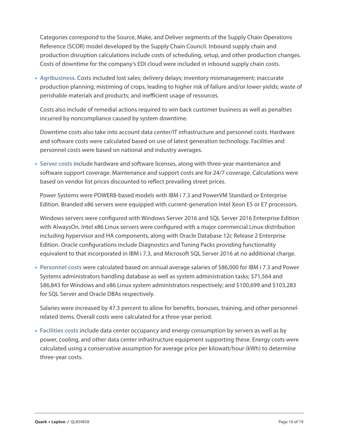<span id="page-15-0"></span>Categories correspond to the Source, Make, and Deliver segments of the Supply Chain Operations Reference (SCOR) model developed by the Supply Chain Council. Inbound supply chain and production disruption calculations include costs of scheduling, setup, and other production changes. Costs of downtime for the company's EDI cloud were included in inbound supply chain costs.

**• Agribusiness.** Costs included lost sales; delivery delays; inventory mismanagement; inaccurate production planning; mistiming of crops, leading to higher risk of failure and/or lower yields; waste of perishable materials and products; and inefficient usage of resources.

Costs also include of remedial actions required to win back customer business as well as penalties incurred by noncompliance caused by system downtime.

Downtime costs also take into account data center/IT infrastructure and personnel costs. Hardware and software costs were calculated based on use of latest generation technology. Facilities and personnel costs were based on national and industry averages.

**• Server costs** include hardware and software licenses, along with three-year maintenance and software support coverage. Maintenance and support costs are for 24/7 coverage. Calculations were based on vendor list prices discounted to reflect prevailing street prices.

Power Systems were POWER8-based models with IBM i 7.3 and PowerVM Standard or Enterprise Edition. Branded x86 servers were equipped with current-generation Intel Xeon E5 or E7 processors.

Windows servers were configured with Windows Server 2016 and SQL Server 2016 Enterprise Edition with AlwaysOn. Intel x86 Linux servers were configured with a major commercial Linux distribution including hypervisor and HA components, along with Oracle Database 12c Release 2 Enterprise Edition. Oracle configurations include Diagnostics and Tuning Packs providing functionality equivalent to that incorporated in IBM i 7.3, and Microsoft SQL Server 2016 at no additional charge.

**• Personnel costs** were calculated based on annual average salaries of \$86,000 for IBM i 7.3 and Power Systems administrators handling database as well as system administration tasks; \$71,564 and \$86,843 for Windows and x86 Linux system administrators respectively; and \$100,699 and \$103,283 for SQL Server and Oracle DBAs respectively.

Salaries were increased by 47.3 percent to allow for benefits, bonuses, training, and other personnelrelated items. Overall costs were calculated for a three-year period.

**• Facilities costs** include data center occupancy and energy consumption by servers as well as by power, cooling, and other data center infrastructure equipment supporting these. Energy costs were calculated using a conservative assumption for average price per kilowatt/hour (kWh) to determine three-year costs.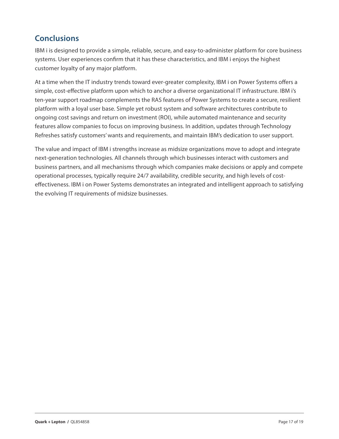# <span id="page-16-0"></span>**Conclusions**

IBM i is designed to provide a simple, reliable, secure, and easy-to-administer platform for core business systems. User experiences confirm that it has these characteristics, and IBM i enjoys the highest customer loyalty of any major platform.

At a time when the IT industry trends toward ever-greater complexity, IBM i on Power Systems offers a simple, cost-effective platform upon which to anchor a diverse organizational IT infrastructure. IBM i's ten-year support roadmap complements the RAS features of Power Systems to create a secure, resilient platform with a loyal user base. Simple yet robust system and software architectures contribute to ongoing cost savings and return on investment (ROI), while automated maintenance and security features allow companies to focus on improving business. In addition, updates through Technology Refreshes satisfy customers' wants and requirements, and maintain IBM's dedication to user support.

The value and impact of IBM i strengths increase as midsize organizations move to adopt and integrate next-generation technologies. All channels through which businesses interact with customers and business partners, and all mechanisms through which companies make decisions or apply and compete operational processes, typically require 24/7 availability, credible security, and high levels of costeffectiveness. IBM i on Power Systems demonstrates an integrated and intelligent approach to satisfying the evolving IT requirements of midsize businesses.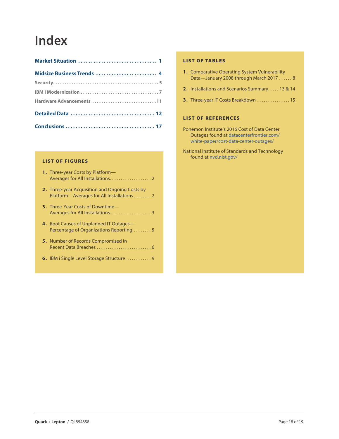# **Index**

| Midsize Business Trends  4 |  |
|----------------------------|--|
|                            |  |
|                            |  |
| Hardware Advancements 11   |  |
|                            |  |
|                            |  |

#### LIST OF FIGURES

| <b>1.</b> Three-year Costs by Platform- |
|-----------------------------------------|
|                                         |

- **2.** [Three-year Acquisition and Ongoing Costs by](#page-2-0)  Platform-Averages for All Installations........ 2
- **3.** [Three-Year Costs of Downtime—](#page-2-0) [Averages for All Installations. . .](#page-2-0) . . . . . . . . . . . . . . . 3
- **4.** [Root Causes of Unplanned IT Outages—](#page-4-0) Percentage of Organizations Reporting ........5
- **5.** Number of Records Compromised in [Recent Data Breaches. . .](#page-5-0) 6
- **6.** [IBM i Single Level Storage Structure. . .](#page-8-0) . . . . . . . . 9

#### LIST OF TABLES

| <b>1.</b> Comparative Operating System Vulnerability |
|------------------------------------------------------|
| Data-January 2008 through March 2017  8              |

- **2.** [Installations and Scenarios Summary. . .](#page-12-0) 13 & 14
- **3.** Three-year IT Costs Breakdown . . . . . . . . . . . . . . 15

#### LIST OF REFERENCES

- Ponemon Institute's 2016 Cost of Data Center Outages found at [datacenterfrontier.com/](http://datacenterfrontier.com/white-paper/cost-data-center-outages/ ) [white-paper/cost-data-center-outages/](http://datacenterfrontier.com/white-paper/cost-data-center-outages/ )
- National Institute of Standards and Technology found at [nvd.nist.gov](http://nvd.nist.gov)/